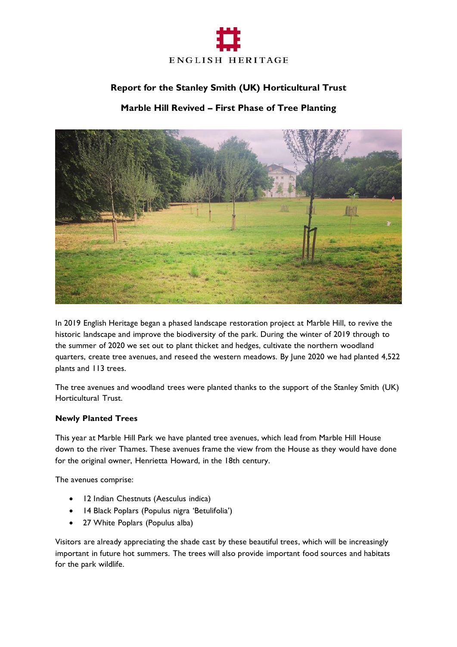

# **Report for the Stanley Smith (UK) Horticultural Trust**

## **Marble Hill Revived – First Phase of Tree Planting**



In 2019 English Heritage began a phased landscape restoration project at Marble Hill, to revive the historic landscape and improve the biodiversity of the park. During the winter of 2019 through to the summer of 2020 we set out to plant thicket and hedges, cultivate the northern woodland quarters, create tree avenues, and reseed the western meadows. By June 2020 we had planted 4,522 plants and 113 trees.

The tree avenues and woodland trees were planted thanks to the support of the Stanley Smith (UK) Horticultural Trust.

#### **Newly Planted Trees**

This year at Marble Hill Park we have planted tree avenues, which lead from Marble Hill House down to the river Thames. These avenues frame the view from the House as they would have done for the original owner, Henrietta Howard, in the 18th century.

The avenues comprise:

- 12 Indian Chestnuts (Aesculus indica)
- 14 Black Poplars (Populus nigra 'Betulifolia')
- 27 White Poplars (Populus alba)

Visitors are already appreciating the shade cast by these beautiful trees, which will be increasingly important in future hot summers. The trees will also provide important food sources and habitats for the park wildlife.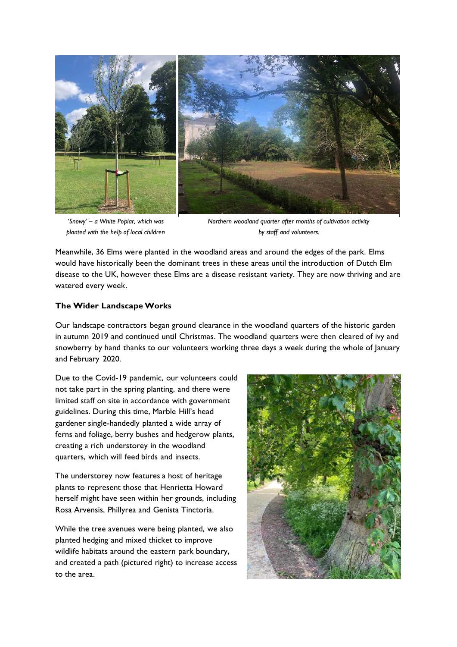

*'Snowy' – a White Poplar, which was planted with the help of local children*

*Northern woodland quarter after months of cultivation activity by staff and volunteers.*

Meanwhile, 36 Elms were planted in the woodland areas and around the edges of the park. Elms would have historically been the dominant trees in these areas until the introduction of Dutch Elm disease to the UK, however these Elms are a disease resistant variety. They are now thriving and are watered every week.

#### **The Wider LandscapeWorks**

Our landscape contractors began ground clearance in the woodland quarters of the historic garden in autumn 2019 and continued until Christmas. The woodland quarters were then cleared of ivy and snowberry by hand thanks to our volunteers working three days a week during the whole of January and February 2020.

Due to the Covid-19 pandemic, our volunteers could not take part in the spring planting, and there were limited staff on site in accordance with government guidelines. During this time, Marble Hill's head gardener single-handedly planted a wide array of ferns and foliage, berry bushes and hedgerow plants, creating a rich understorey in the woodland quarters, which will feed birds and insects.

The understorey now features a host of heritage plants to represent those that Henrietta Howard herself might have seen within her grounds, including Rosa Arvensis, Phillyrea and Genista Tinctoria.

While the tree avenues were being planted, we also planted hedging and mixed thicket to improve wildlife habitats around the eastern park boundary, and created a path (pictured right) to increase access to the area.